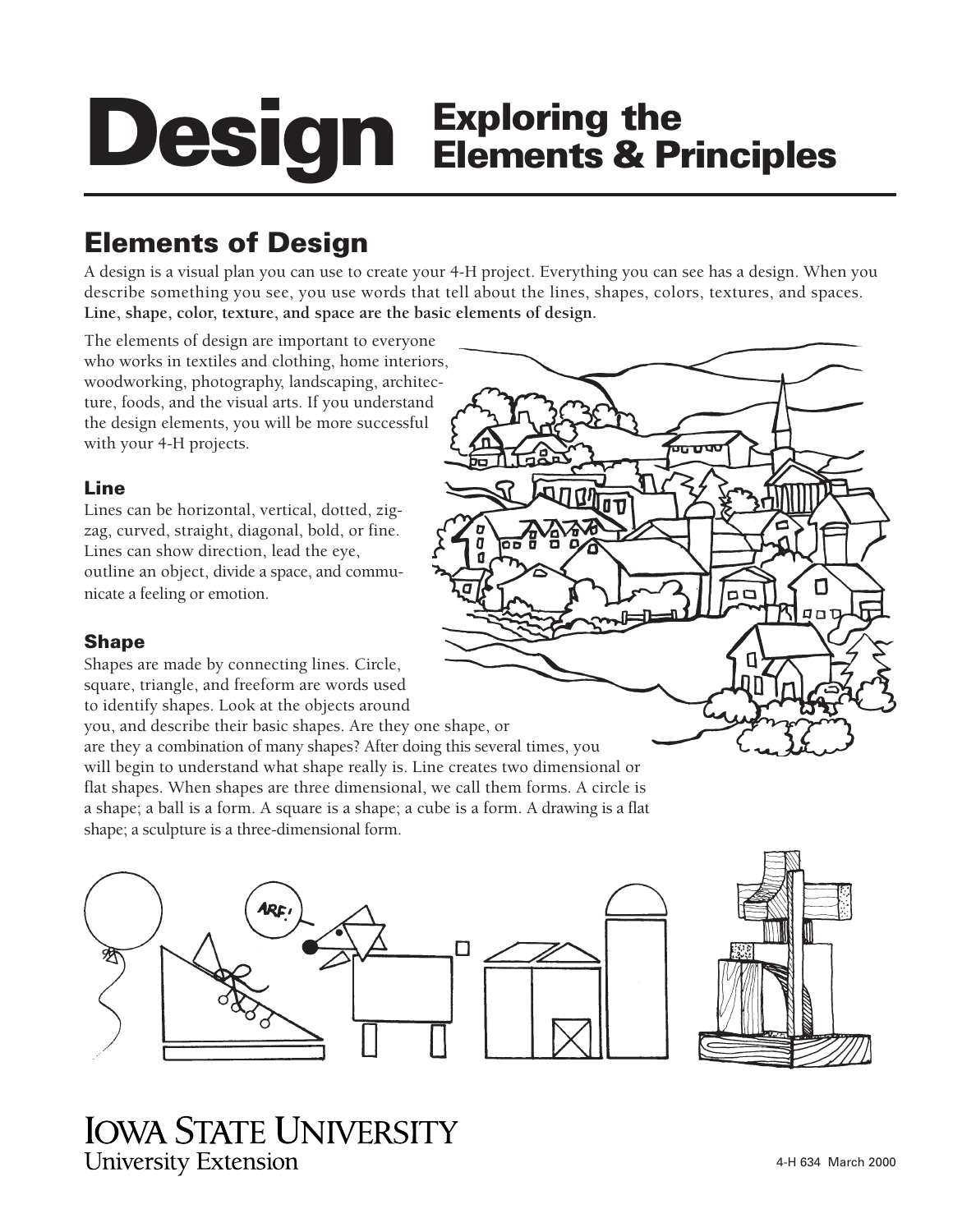## **Design Exploring the Elements & Principles**

# **Elements of Design**

A design is a visual plan you can use to create your 4-H project. Everything you can see has a design. When you describe something you see, you use words that tell about the lines, shapes, colors, textures, and spaces. **Line, shape, color, texture, and space are the basic elements of design.**

The elements of design are important to everyone who works in textiles and clothing, home interiors, woodworking, photography, landscaping, architecture, foods, and the visual arts. If you understand the design elements, you will be more successful with your 4-H projects.

### **Line**

Lines can be horizontal, vertical, dotted, zigzag, curved, straight, diagonal, bold, or fine. Lines can show direction, lead the eye, outline an object, divide a space, and communicate a feeling or emotion.

### **Shape**

Shapes are made by connecting lines. Circle, square, triangle, and freeform are words used to identify shapes. Look at the objects around you, and describe their basic shapes. Are they one shape, or are they a combination of many shapes? After doing this several times, you will begin to understand what shape really is. Line creates two dimensional or flat shapes. When shapes are three dimensional, we call them forms. A circle is a shape; a ball is a form. A square is a shape; a cube is a form. A drawing is a flat shape; a sculpture is a three-dimensional form.





o a

 $\pi$ nt

### **IOWA STATE UNIVERSITY University Extension**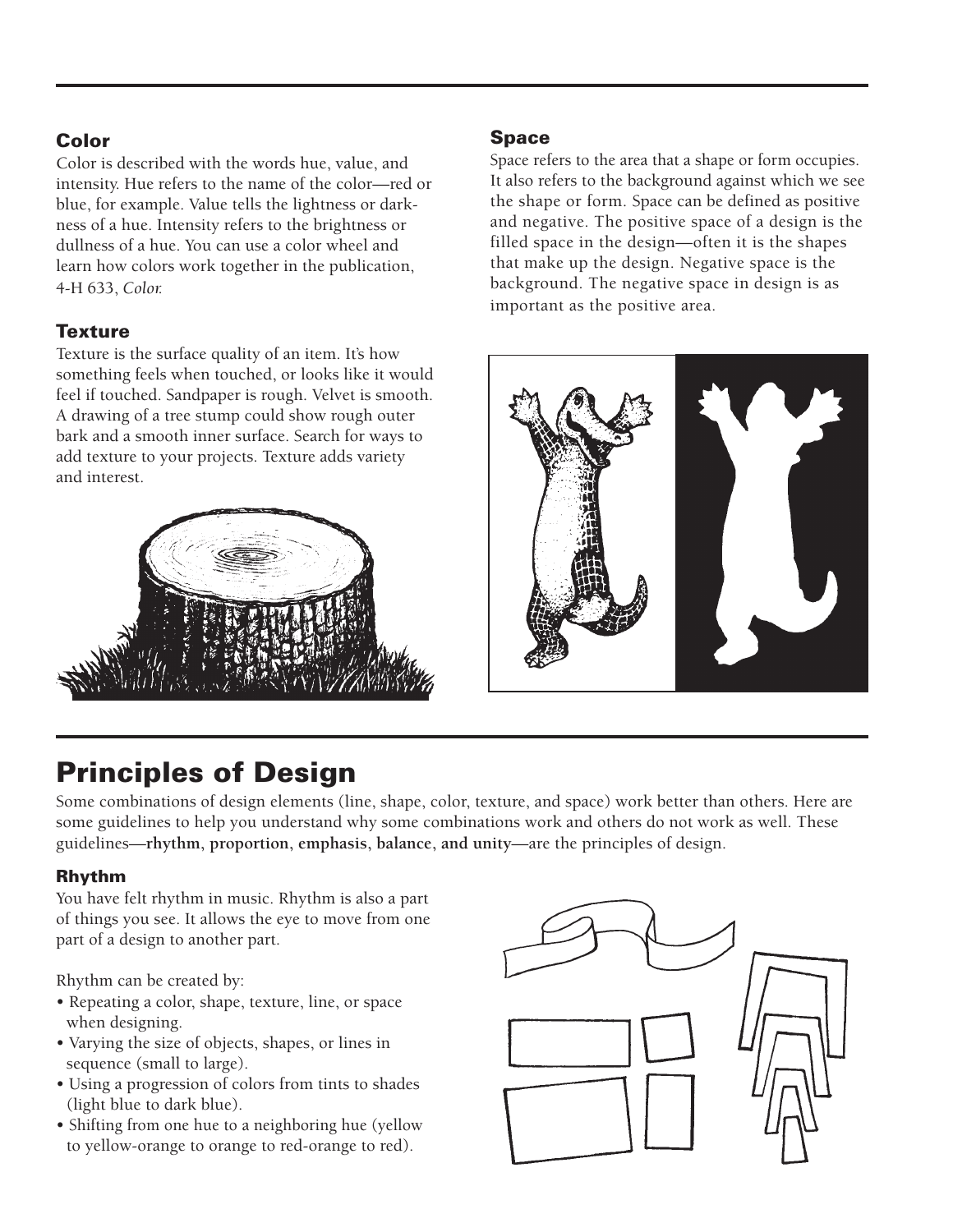### **Color**

Color is described with the words hue, value, and intensity. Hue refers to the name of the color—red or blue, for example. Value tells the lightness or darkness of a hue. Intensity refers to the brightness or dullness of a hue. You can use a color wheel and learn how colors work together in the publication, 4-H 633, *Color.*

### **Texture**

Texture is the surface quality of an item. It's how something feels when touched, or looks like it would feel if touched. Sandpaper is rough. Velvet is smooth. A drawing of a tree stump could show rough outer bark and a smooth inner surface. Search for ways to add texture to your projects. Texture adds variety and interest.



# **Principles of Design**

Some combinations of design elements (line, shape, color, texture, and space) work better than others. Here are some guidelines to help you understand why some combinations work and others do not work as well. These guidelines—**rhythm, proportion, emphasis, balance, and unity**—are the principles of design.

### **Rhythm**

You have felt rhythm in music. Rhythm is also a part of things you see. It allows the eye to move from one part of a design to another part.

Rhythm can be created by:

- Repeating a color, shape, texture, line, or space when designing.
- Varying the size of objects, shapes, or lines in sequence (small to large).
- Using a progression of colors from tints to shades (light blue to dark blue).
- Shifting from one hue to a neighboring hue (yellow to yellow-orange to orange to red-orange to red).



#### **Space**

Space refers to the area that a shape or form occupies. It also refers to the background against which we see the shape or form. Space can be defined as positive and negative. The positive space of a design is the filled space in the design—often it is the shapes that make up the design. Negative space is the background. The negative space in design is as important as the positive area.

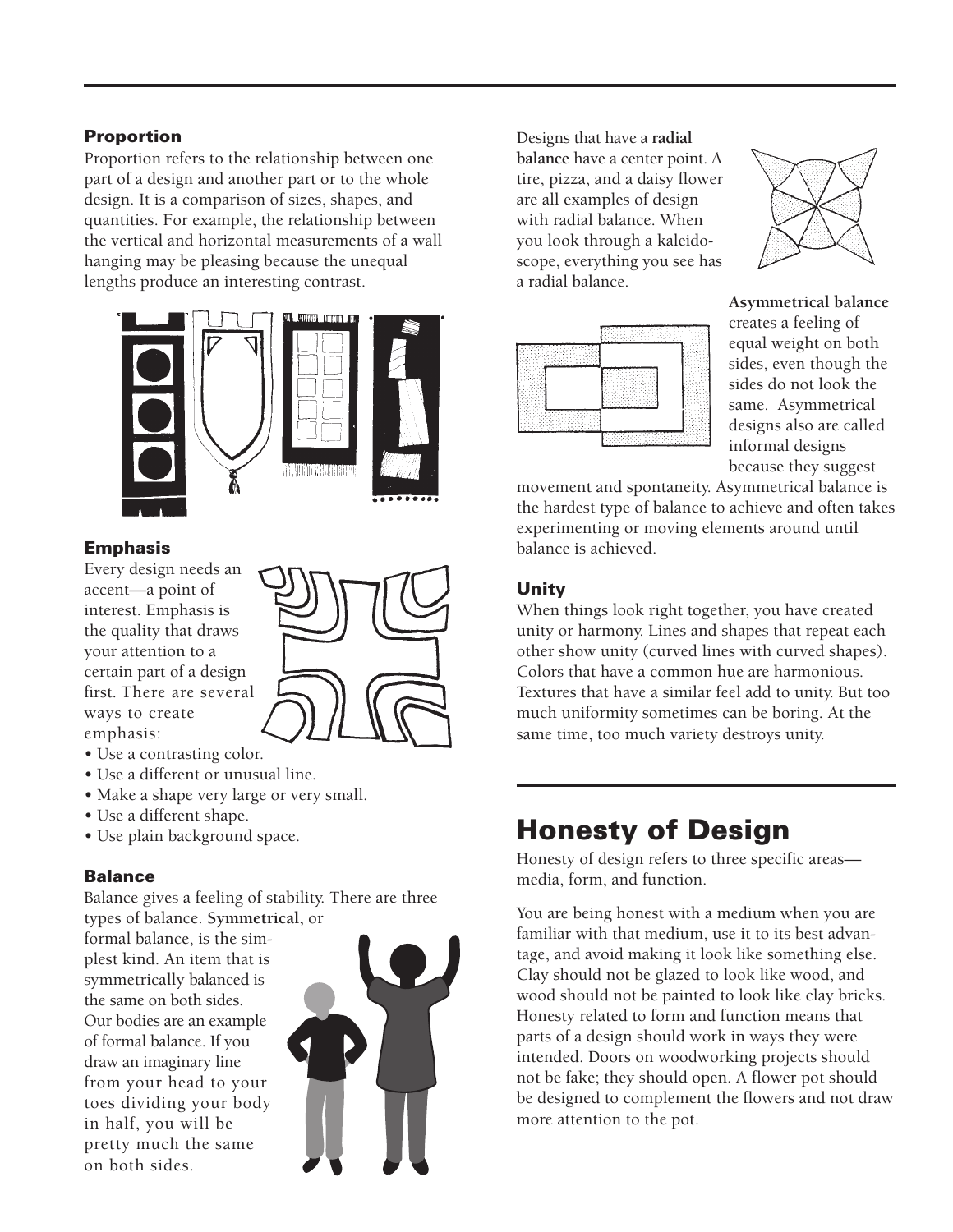#### **Proportion**

Proportion refers to the relationship between one part of a design and another part or to the whole design. It is a comparison of sizes, shapes, and quantities. For example, the relationship between the vertical and horizontal measurements of a wall hanging may be pleasing because the unequal lengths produce an interesting contrast.



#### **Emphasis**

Every design needs an accent—a point of interest. Emphasis is the quality that draws your attention to a certain part of a design first. There are several ways to create emphasis:

- Use a contrasting color.
- Use a different or unusual line.
- Make a shape very large or very small.
- Use a different shape.
- Use plain background space.

#### **Balance**

Balance gives a feeling of stability. There are three types of balance. **Symmetrical,** or

formal balance, is the simplest kind. An item that is symmetrically balanced is the same on both sides. Our bodies are an example of formal balance. If you draw an imaginary line from your head to your toes dividing your body in half, you will be pretty much the same on both sides.



Designs that have a **radial balance** have a center point. A tire, pizza, and a daisy flower are all examples of design with radial balance. When you look through a kaleidoscope, everything you see has a radial balance.





**Asymmetrical balance** creates a feeling of equal weight on both sides, even though the sides do not look the same. Asymmetrical designs also are called informal designs because they suggest

movement and spontaneity. Asymmetrical balance is the hardest type of balance to achieve and often takes experimenting or moving elements around until balance is achieved.

#### **Unity**

When things look right together, you have created unity or harmony. Lines and shapes that repeat each other show unity (curved lines with curved shapes). Colors that have a common hue are harmonious. Textures that have a similar feel add to unity. But too much uniformity sometimes can be boring. At the same time, too much variety destroys unity.

## **Honesty of Design**

Honesty of design refers to three specific areas media, form, and function.

You are being honest with a medium when you are familiar with that medium, use it to its best advantage, and avoid making it look like something else. Clay should not be glazed to look like wood, and wood should not be painted to look like clay bricks. Honesty related to form and function means that parts of a design should work in ways they were intended. Doors on woodworking projects should not be fake; they should open. A flower pot should be designed to complement the flowers and not draw more attention to the pot.